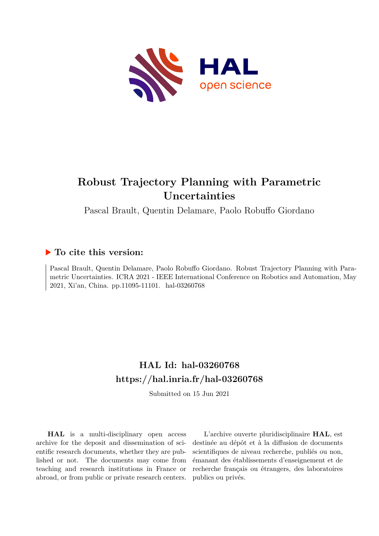

# **Robust Trajectory Planning with Parametric Uncertainties**

Pascal Brault, Quentin Delamare, Paolo Robuffo Giordano

# **To cite this version:**

Pascal Brault, Quentin Delamare, Paolo Robuffo Giordano. Robust Trajectory Planning with Parametric Uncertainties. ICRA 2021 - IEEE International Conference on Robotics and Automation, May 2021, Xi'an, China. pp.11095-11101. hal-03260768

# **HAL Id: hal-03260768 <https://hal.inria.fr/hal-03260768>**

Submitted on 15 Jun 2021

**HAL** is a multi-disciplinary open access archive for the deposit and dissemination of scientific research documents, whether they are published or not. The documents may come from teaching and research institutions in France or abroad, or from public or private research centers.

L'archive ouverte pluridisciplinaire **HAL**, est destinée au dépôt et à la diffusion de documents scientifiques de niveau recherche, publiés ou non, émanant des établissements d'enseignement et de recherche français ou étrangers, des laboratoires publics ou privés.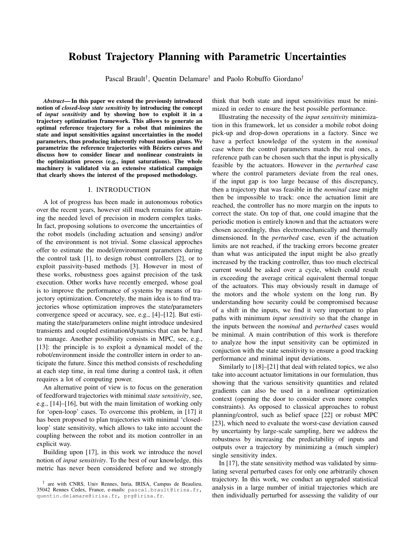# Robust Trajectory Planning with Parametric Uncertainties

Pascal Brault<sup>†</sup>, Quentin Delamare<sup>†</sup> and Paolo Robuffo Giordano<sup>†</sup>

*Abstract*— In this paper we extend the previously introduced notion of *closed-loop state sensitivity* by introducing the concept of *input sensitivity* and by showing how to exploit it in a trajectory optimization framework. This allows to generate an optimal reference trajectory for a robot that minimizes the state and input sensitivities against uncertainties in the model parameters, thus producing inherently robust motion plans. We parametrize the reference trajectories with Béziers curves and discuss how to consider linear and nonlinear constraints in the optimization process (e.g., input saturations). The whole machinery is validated via an extensive statistical campaign that clearly shows the interest of the proposed methodology.

## I. INTRODUCTION

A lot of progress has been made in autonomous robotics over the recent years, however still much remains for attaining the needed level of precision in modern complex tasks. In fact, proposing solutions to overcome the uncertainties of the robot models (including actuation and sensing) and/or of the environment is not trivial. Some classical approches offer to estimate the model/environment parameters during the control task [1], to design robust controllers [2], or to exploit passivity-based methods [3]. However in most of these works, robustness goes against precision of the task execution. Other works have recently emerged, whose goal is to improve the performance of systems by means of trajectory optimization. Concretely, the main idea is to find trajectories whose optimization improves the state/parameters convergence speed or accuracy, see, e.g., [4]–[12]. But estimating the state/parameters online might introduce undesired transients and coupled estimation/dynamics that can be hard to manage. Another possibility consists in MPC, see, e.g., [13]: the principle is to exploit a dynamical model of the robot/environment inside the controller intern in order to anticipate the future. Since this method consists of rescheduling at each step time, in real time during a control task, it often requires a lot of computing power.

An alternative point of view is to focus on the generation of feedforward trajectories with minimal *state sensitivity*, see, e.g., [14]–[16], but with the main limitation of working only for 'open-loop' cases. To overcome this problem, in [17] it has been proposed to plan trajectories with minimal 'closedloop' state sensitivity, which allows to take into account the coupling between the robot and its motion controller in an explicit way.

Building upon [17], in this work we introduce the novel notion of *input sensitivity*. To the best of our knowledge, this metric has never been considered before and we strongly think that both state and input sensitivities must be minimized in order to ensure the best possible performance.

Illustrating the necessity of the *input sensitivity* minimization in this framework, let us consider a mobile robot doing pick-up and drop-down operations in a factory. Since we have a perfect knowledge of the system in the *nominal* case where the control parameters match the real ones, a reference path can be chosen such that the input is physically feasible by the actuators. However in the *perturbed* case where the control parameters deviate from the real ones, if the input gap is too large because of this discrepancy, then a trajectory that was feasible in the *nominal* case might then be impossible to track: once the actuation limit are reached, the controller has no more margin on the inputs to correct the state. On top of that, one could imagine that the periodic motion is entirely known and that the actuators were chosen accordingly, thus electromechanically and thermally dimensioned. In the *perturbed* case, even if the actuation limits are not reached, if the tracking errors become greater than what was anticipated the input might be also greatly increased by the tracking controller, thus too much electrical current would be asked over a cycle, which could result in exceeding the average critical equivalent thermal torque of the actuators. This may obviously result in damage of the motors and the whole system on the long run. By understanding how security could be compromised because of a shift in the inputs, we find it very important to plan paths with minimum *input sensitivity* so that the change in the inputs between the *nominal* and *perturbed* cases would be minimal. A main contribution of this work is therefore to analyze how the input sensitivity can be optimized in conjuction with the state sensitivity to ensure a good tracking performance and minimal input deviations.

Similarly to [18]–[21] that deal with related topics, we also take into account actuator limitations in our formulation, thus showing that the various sensitivity quantities and related gradients can also be used in a nonlinear optimization context (opening the door to consider even more complex constraints). As opposed to classical approaches to robust planning/control, such as belief space [22] or robust MPC [23], which need to evaluate the worst-case deviation caused by uncertainty by large-scale sampling, here we address the robustness by increasing the predictability of inputs and outputs over a trajectory by minimizing a (much simpler) single sensitivity index.

In [17], the state sensitivity method was validated by simulating several perturbed cases for only one arbitrarily chosen trajectory. In this work, we conduct an upgraded statistical analysis in a large number of initial trajectories which are then individually perturbed for assessing the validity of our

<sup>†</sup> are with CNRS, Univ Rennes, Inria, IRISA, Campus de Beaulieu, 35042 Rennes Cedex, France, e-mails: pascal.brault@irisa.fr, quentin.delamare@irisa.fr, prg@irisa.fr.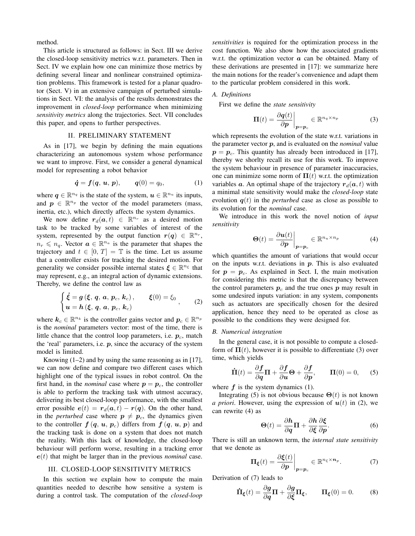method.

This article is structured as follows: in Sect. III we derive the closed-loop sensitivity metrics w.r.t. parameters. Then in Sect. IV we explain how one can minimize those metrics by defining several linear and nonlinear constrained optimization problems. This framework is tested for a planar quadrotor (Sect. V) in an extensive campaign of perturbed simulations in Sect. VI: the analysis of the results demonstrates the improvement in *closed-loop* performance when minimizing *sensitivity metrics* along the trajectories. Sect. VII concludes this paper, and opens to further perspectives.

# II. PRELIMINARY STATEMENT

As in [17], we begin by defining the main equations characterizing an autonomous system whose performance we want to improve. First, we consider a general dynamical model for representing a robot behavior

$$
\dot{q} = f(q, u, p), \qquad q(0) = q_0,
$$
 (1)

where  $q \in \mathbb{R}^{n_q}$  is the state of the system,  $u \in \mathbb{R}^{n_u}$  its inputs, and  $p \in \mathbb{R}^{n_p}$  the vector of the model parameters (mass, inertia, etc.), which directly affects the system dynamics.

We now define  $r_d(a, t) \in \mathbb{R}^{n_r}$  as a desired motion task to be tracked by some variables of interest of the system, represented by the output function  $r(q) \in \mathbb{R}^{n_r}$ ,  $n_r \leq n_q$ . Vector  $\boldsymbol{a} \in \mathbb{R}^{n_a}$  is the parameter that shapes the trajectory and  $t \in [0, T] = \mathbb{T}$  is the time. Let us assume that a controller exists for tracking the desired motion. For generality we consider possible internal states  $\xi \in \mathbb{R}^{n_{\xi}}$  that may represent, e.g., an integral action of dynamic extensions. Thereby, we define the control law as

 $\sim$ 

$$
\begin{cases} \dot{\xi} = g(\xi, q, a, p_c, k_c), & \xi(0) = \xi_0 \\ u = h(\xi, q, a, p_c, k_c) \end{cases}
$$
 (2)

where  $k_c \in \mathbb{R}^{n_k}$  is the controller gains vector and  $p_c \in \mathbb{R}^{n_p}$ is the *nominal* parameters vector: most of the time, there is little chance that the control loop parameters, i.e.  $p_c$ , match the 'real' parameters, i.e.  $p$ , since the accuracy of the system model is limited.

Knowing  $(1-2)$  and by using the same reasoning as in [17], we can now define and compare two different cases which highlight one of the typical issues in robot control. On the first hand, in the *nominal* case where  $p = p_c$ , the controller is able to perform the tracking task with utmost accuracy, delivering its best closed-loop performance, with the smallest error possible  $e(t) = r_d(a, t) - r(q)$ . On the other hand, in the *perturbed* case where  $p \neq p_c$ , the dynamics given to the controller  $f(q, u, p_c)$  differs from  $f(q, u, p)$  and the tracking task is done on a system that does not match the reality. With this lack of knowledge, the closed-loop behaviour will perform worse, resulting in a tracking error  $e(t)$  that might be larger than in the previous *nominal* case.

# III. CLOSED-LOOP SENSITIVITY METRICS

In this section we explain how to compute the main quantities needed to describe how sensitive a system is during a control task. The computation of the *closed-loop* *sensitivities* is required for the optimization process in the cost function. We also show how the associated gradients w.r.t. the optimization vector  $\alpha$  can be obtained. Many of these derivations are presented in [17]: we summarize here the main notions for the reader's convenience and adapt them to the particular problem considered in this work.

## *A. Definitions*

First we define the *state sensitivity*

$$
\Pi(t) = \frac{\partial q(t)}{\partial p}\bigg|_{p=p_c} \in \mathbb{R}^{n_q \times n_p} \tag{3}
$$

which represents the evolution of the state w.r.t. variations in the parameter vector p, and is evaluated on the *nominal* value  $p = p_c$ . This quantity has already been introduced in [17], thereby we shorlty recall its use for this work. To improve the system behaviour in presence of parameter inaccuracies, one can minimize some norm of  $\Pi(t)$  w.r.t. the optimization variables a. An optimal shape of the trajectory  $r_d(a, t)$  with a minimal state sensitivity would make the *closed-loop* state evolution  $q(t)$  in the *perturbed* case as close as possible to its evolution for the *nominal* case.

We introduce in this work the novel notion of *input sensitivity*

$$
\Theta(t) = \frac{\partial \boldsymbol{u}(t)}{\partial \boldsymbol{p}} \bigg|_{\boldsymbol{p} = \boldsymbol{p}_c} \in \mathbb{R}^{n_u \times n_p} \tag{4}
$$

which quantifies the amount of variations that would occur on the inputs w.r.t. deviations in  $p$ . This is also evaluated for  $p = p_c$ . As explained in Sect. I, the main motivation for considering this metric is that the discrepancy between the control parameters  $p_c$  and the true ones p may result in some undesired inputs variation: in any system, components such as actuators are specifically chosen for the desired application, hence they need to be operated as close as possible to the conditions they were designed for.

#### *B. Numerical integration*

In the general case, it is not possible to compute a closedform of  $\Pi(t)$ , however it is possible to differentiate (3) over time, which yields

$$
\dot{\Pi}(t) = \frac{\partial f}{\partial q} \Pi + \frac{\partial f}{\partial u} \Theta + \frac{\partial f}{\partial p}, \qquad \Pi(0) = 0, \quad (5)
$$

where  $f$  is the system dynamics (1).

Integrating (5) is not obvious because  $\Theta(t)$  is not known *a priori*. However, using the expression of  $u(t)$  in (2), we can rewrite (4) as

$$
\Theta(t) = \frac{\partial h}{\partial q} \Pi + \frac{\partial h}{\partial \xi} \frac{\partial \xi}{\partial p}.
$$
 (6)

There is still an unknown term, the *internal state sensitivity* that we denote as

$$
\Pi_{\xi}(t) = \frac{\partial \xi(t)}{\partial p}\bigg|_{p=p_c} \in \mathbb{R}^{n_{\xi} \times n_p}.
$$
 (7)

Derivation of (7) leads to

$$
\dot{\Pi}_{\xi}(t) = \frac{\partial g}{\partial q} \Pi + \frac{\partial g}{\partial \xi} \Pi_{\xi}, \qquad \Pi_{\xi}(0) = 0. \tag{8}
$$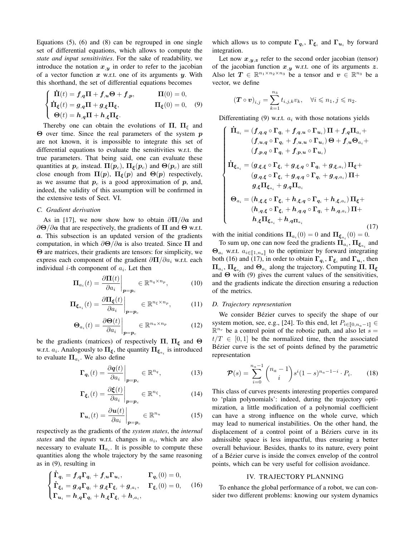Equations (5), (6) and (8) can be regrouped in one single set of differential equations, which allows to compute the *state and input sensitivities*. For the sake of readability, we introduce the notation  $x_{,y}$  in order to refer to the jacobian of a vector function  $x$  w.r.t. one of its arguments  $y$ . With this shorthand, the set of differential equations becomes

$$
\begin{cases}\n\dot{\Pi}(t) = f_{,q}\Pi + f_{,u}\Theta + f_{,p}, & \Pi(0) = 0, \\
\dot{\Pi}_{\xi}(t) = g_{,q}\Pi + g_{,\xi}\Pi_{\xi}, & \Pi_{\xi}(0) = 0, \\
\Theta(t) = h_{,q}\Pi + h_{,\xi}\Pi_{\xi}.\n\end{cases}
$$
\n(9)

Thereby one can obtain the evolutions of  $\Pi$ ,  $\Pi_{\xi}$  and Θ over time. Since the real parameters of the system  $$ are not known, it is impossible to integrate this set of differential equations to evaluate the sensitivities w.r.t. the true parameters. That being said, one can evaluate these quantities at  $p_c$  instead.  $\Pi(p_c)$ ,  $\Pi_{\xi}(p_c)$  and  $\Theta(p_c)$  are still close enough from  $\Pi(p)$ ,  $\Pi_{\xi}(p)$  and  $\Theta(p)$  respectively, as we assume that  $p_c$  is a good approximation of  $p$ , and, indeed, the validity of this assumption will be confirmed in the extensive tests of Sect. VI.

#### *C. Gradient derivation*

As in [17], we now show how to obtain  $\frac{\partial \Pi}{\partial a}$  and  $\partial\Theta/\partial a$  that are respectively, the gradients of  $\Pi$  and  $\Theta$  w.r.t. a. This subsection is an updated version of the gradients computation, in which  $\partial \Theta / \partial a$  is also treated. Since  $\Pi$  and Θ are matrices, their gradients are tensors: for simplicity, we express each component of the gradient  $\partial \Pi / \partial a_i$  w.r.t. each individual *i*-th component of  $a_i$ . Let then

$$
\mathbf{\Pi}_{a_i}(t) = \frac{\partial \mathbf{\Pi}(t)}{\partial a_i}\bigg|_{\mathbf{p} = \mathbf{p}_c} \in \mathbb{R}^{n_q \times n_p},\tag{10}
$$

$$
\Pi_{\xi_{a_i}}(t) = \frac{\partial \Pi_{\xi}(t)}{\partial a_i}\bigg|_{p=p_c} \in \mathbb{R}^{n_{\xi} \times n_p},\tag{11}
$$

$$
\Theta_{a_i}(t) = \frac{\partial \Theta(t)}{\partial a_i}\bigg|_{p=p_c} \in \mathbb{R}^{n_u \times n_p} \tag{12}
$$

be the gradients (matrices) of respectively  $\Pi$ ,  $\Pi_{\xi}$  and  $\Theta$ w.r.t.  $a_i$ . Analogously to  $\Pi_{\xi}$ , the quantity  $\Pi_{\xi_{a_i}}$  is introduced to evaluate  $\Pi_{a_i}$ . We also define

$$
\mathbf{\Gamma}_{\mathbf{q}_i}(t) = \frac{\partial \mathbf{q}(t)}{\partial a_i}\bigg|_{\mathbf{p} = \mathbf{p}_c} \in \mathbb{R}^{n_q},\tag{13}
$$

$$
\Gamma_{\xi_i}(t) = \frac{\partial \xi(t)}{\partial a_i}\bigg|_{p=p_c} \in \mathbb{R}^{n_{\xi}},\tag{14}
$$

$$
\mathbf{\Gamma}_{\mathbf{u}_i}(t) = \frac{\partial \mathbf{u}(t)}{\partial a_i}\bigg|_{\mathbf{p} = \mathbf{p}_c} \in \mathbb{R}^{n_u}
$$
 (15)

respectively as the gradients of the *system states*, the *internal* states and the *inputs* w.r.t. changes in  $a_i$ , which are also necessary to evaluate  $\Pi_{a_i}$ . It is possible to compute these quantities along the whole trajectory by the same reasoning as in (9), resulting in

$$
\begin{cases}\n\dot{\Gamma}_{q_i} = f_{,q} \Gamma_{q_i} + f_{,u} \Gamma_{u_i}, & \Gamma_{q_i}(0) = 0, \\
\dot{\Gamma}_{\xi_i} = g_{,q} \Gamma_{q_i} + g_{,\xi} \Gamma_{\xi_i} + g_{,a_i}, & \Gamma_{\xi_i}(0) = 0, \\
\Gamma_{u_i} = h_{,q} \Gamma_{q_i} + h_{,\xi} \Gamma_{\xi_i} + h_{,a_i},\n\end{cases}
$$
\n(16)

which allows us to compute  $\Gamma_{q_i}$ ,  $\Gamma_{\xi_i}$  and  $\Gamma_{u_i}$  by forward integration.

Let now  $x_{,y,z}$  refer to the second order jacobian (tensor) of the jacobian function  $x_{,y}$  w.r.t. one of its arguments z. Also let  $T \in \mathbb{R}^{n_1 \times n_2 \times n_3}$  be a tensor and  $v \in \mathbb{R}^{n_3}$  be a vector, we define

$$
\left(\boldsymbol{T} \circ \boldsymbol{v}\right)_{i,j} = \sum_{k=1}^{n_3} t_{i,j,k} v_k, \quad \forall i \leq n_1, j \leq n_2.
$$

Differentiating  $(9)$  w.r.t.  $a_i$  with those notations yields

$$
\begin{cases}\n\dot{\Pi}_{a_i} = (f_{,q,q} \circ \Gamma_{q_i} + f_{,q,u} \circ \Gamma_{u_i}) \Pi + f_{,q} \Pi_{a_i} + (f_{,u,q} \circ \Gamma_{q_i} + f_{,u,u} \circ \Gamma_{u_i}) \Theta + f_{,u} \Theta_{a_i} + (f_{,p,q} \circ \Gamma_{q_i} + f_{,p,u} \circ \Gamma_{u_i}) \\
\dot{\Pi}_{\xi_{a_i}} = (g_{,\xi,\xi} \circ \Gamma_{\xi_i} + g_{,\xi,q} \circ \Gamma_{q_i} + g_{,\xi,a_i}) \Pi_{\xi} + (g_{,q,\xi} \circ \Gamma_{\xi_i} + g_{,q,q} \circ \Gamma_{q_i} + g_{,q,a_i}) \Pi + (g_{,\xi} \Pi_{\xi_{a_i}} + g_{,q} \Pi_{a_i}) \\
\Theta_{a_i} = (h_{,\xi,\xi} \circ \Gamma_{\xi_i} + h_{,\xi,q} \circ \Gamma_{q_i} + h_{,\xi,a_i}) \Pi_{\xi} + (h_{,q,\xi} \circ \Gamma_{\xi_i} + h_{,q,q} \circ \Gamma_{q_i} + h_{,q,a_i}) \Pi + (h_{,\xi} \Pi_{\xi_{a_i}} + h_{,q} \Pi_{a_i})\n\end{cases} (17)
$$

with the initial conditions  $\Pi_{a_i}(0) = 0$  and  $\Pi_{\xi_{a_i}}(0) = 0$ .

To sum up, one can now feed the gradients  $\Pi_{a_i}$ ,  $\Pi_{\xi_{a_i}}$  and  $\Theta_{a_i}$  w.r.t.  $a_{i\in [1,n_a]}$  to the optimizer by forward integrating<br>both (16) and (17) in order to obtain  $\Gamma$ .  $\Gamma$  and  $\Gamma$  then both (16) and (17), in order to obtain  $\Gamma_{q_i}$ ,  $\Gamma_{\xi_i}$  and  $\Gamma_{u_i}$ , then  $\Pi_{a_i}$ ,  $\Pi_{\xi_{a_i}}$  and  $\Theta_{a_i}$  along the trajectory. Computing  $\Pi$ ,  $\Pi_{\xi}$ and  $\Theta$  with (9) gives the current values of the sensitivities, and the gradients indicate the direction ensuring a reduction of the metrics.

# *D. Trajectory representation*

We consider Bézier curves to specify the shape of our system motion, see, e.g., [24]. To this end, let  $P_{i\in[0,n_a-1]}$  $\mathbb{R}^{n_r}$  be a control point of the robotic path, and also let  $s =$  $t/T \in [0, 1]$  be the normalized time, then the associated Bézier curve is the set of points defined by the parametric representation

$$
\mathcal{P}(s) = \sum_{i=0}^{n_a - 1} {n_a - 1 \choose i} s^i (1 - s)^{n_a - 1 - i} \cdot P_i.
$$
 (18)

This class of curves presents interesting properties compared to 'plain polynomials': indeed, during the trajectory optimization, a little modification of a polynomial coefficient can have a strong influence on the whole curve, which may lead to numerical instabilities. On the other hand, the displacement of a control point of a Béziers curve in its admissible space is less impactful, thus ensuring a better overall behaviour. Besides, thanks to its nature, every point of a Bezier curve is inside the convex envelop of the control ´ points, which can be very useful for collision avoidance.

### IV. TRAJECTORY PLANNING

To enhance the global performance of a robot, we can consider two different problems: knowing our system dynamics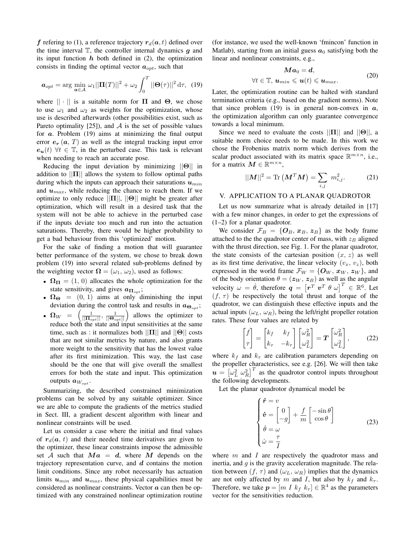f refering to (1), a reference trajectory  $r_d(a, t)$  defined over the time interval  $\mathbb{T}$ , the controller internal dynamics  $g$  and its input function  $h$  both defined in (2), the optimization consists in finding the optimal vector  $a_{opt}$ , such that

$$
\boldsymbol{a}_{opt} = \arg\min_{\boldsymbol{a}\in\mathcal{A}} \omega_1 ||\mathbf{\Pi}(T)||^2 + \omega_2 \int_0^T ||\boldsymbol{\Theta}(\tau)||^2 d\tau, \tag{19}
$$

where  $|| \cdot ||$  is a suitable norm for  $\Pi$  and  $\Theta$ , we chose to use  $\omega_1$  and  $\omega_2$  as weights for the optimization, whose use is described afterwards (other possibilities exist, such as Pareto optimality  $[25]$ , and A is the set of possible values for  $a$ . Problem  $(19)$  aims at minimizing the final output error  $e_r(a, T)$  as well as the integral tracking input error  $e_{u}(t)$   $\forall t \in \mathbb{T}$ , in the perturbed case. This task is relevant when needing to reach an accurate pose.

Reducing the input deviation by minimizing  $||\Theta||$  in addition to  $||\Pi||$  allows the system to follow optimal paths during which the inputs can approach their saturations  $u_{min}$ and  $u_{max}$ , while reducing the chance to reach them. If we optimize to only reduce  $||\Pi||$ ,  $||\Theta||$  might be greater after optimization, which will result in a desired task that the system will not be able to achieve in the perturbed case if the inputs deviate too much and run into the actuation saturations. Thereby, there would be higher probability to get a bad behaviour from this 'optimized' motion.

For the sake of finding a motion that will guarantee better performance of the system, we chose to break down problem (19) into several related sub-problems defined by the weighting vector  $\Omega = (\omega_1, \omega_2)$ , used as follows:

- $\Omega_{\Pi} = (1, 0)$  allocates the whole optimization for the state sensitivity, and gives  $a_{\Pi_{opt}}$ ;
- $\Omega_{\Theta} = (0, 1)$  aims at only diminishing the input deviation during the control task and results in  $a_{\Theta_{opt}}$ ;
- $\Omega_W = \left( \frac{1}{\|\mathbf{H}_{opt}\|}, \frac{1}{\|\mathbf{\Theta}_{opt}\|} \right)$  allows the optimizer to reduce both the state and input sensitivities at the same time, such as : it normalizes both  $||\Pi||$  and  $||\Theta||$  costs that are not similar metrics by nature, and also grants more weight to the sensitivity that has the lowest value after its first minimization. This way, the last case should be the one that will give overall the smallest errors for both the state and input. This optimization outputs  $a_{W_{\text{opt}}}$ .

Summarizing, the described constrained minimization problems can be solved by any suitable optimizer. Since we are able to compute the gradients of the metrics studied in Sect. III, a gradient descent algorithm with linear and nonlinear constraints will be used.

Let us consider a case where the initial and final values of  $r_d(a, t)$  and their needed time derivatives are given to the optimizer, these linear constraints impose the admissible set A such that  $Ma = d$ , where M depends on the trajectory representation curve, and  $d$  contains the motion limit conditions. Since any robot necessarily has actuation limits  $u_{min}$  and  $u_{max}$ , these physical capabilities must be considered as nonlinear constraints. Vector  $\alpha$  can then be optimized with any constrained nonlinear optimization routine (for instance, we used the well-known 'fmincon' function in Matlab), starting from an initial guess  $a_0$  satisfying both the linear and nonlinear constraints, e.g.,

$$
M\mathbf{a}_0 = \mathbf{d},
$$
  
\n
$$
\forall t \in \mathbb{T}, \, \mathbf{u}_{min} \leqslant \mathbf{u}(t) \leqslant \mathbf{u}_{max}.
$$
\n(20)

Later, the optimization routine can be halted with standard termination criteria (e.g., based on the gradient norms). Note that since problem (19) is in general non-convex in  $\alpha$ , the optimization algorithm can only guarantee convergence towards a local minimum.

Since we need to evaluate the costs  $||\Pi||$  and  $||\Theta||$ , a suitable norm choice needs to be made. In this work we chose the Frobenius matrix norm which derives from the scalar product associated with its matrix space  $\mathbb{R}^{m \times n}$ , i.e., for a matrix  $M \in \mathbb{R}^{m \times n}$ ,

$$
||M||^2 = \text{Tr}\left(M^T M\right) = \sum_{i,j} m_{i,j}^2. \tag{21}
$$

# V. APPLICATION TO A PLANAR QUADROTOR

Let us now summarize what is already detailed in [17] with a few minor changes, in order to get the expressions of (1–2) for a planar quadrotor.

We consider  $\mathcal{F}_B = \{O_B, x_B, z_B\}$  as the body frame attached to the the quadrotor center of mass, with  $z_B$  aligned with the thrust direction, see Fig. 1. For the planar quadrotor, the state consists of the cartesian position  $(x, z)$  as well as its first time derivative, the linear velocity  $(v_x, v_z)$ , both expressed in the world frame  $\mathcal{F}_W = \{O_W, x_W, z_W\}$ , and of the body orientation  $\theta = (z_W, z_B)$  as well as the angular velocity  $\omega = \dot{\theta}$ , therefore  $\boldsymbol{q} = \begin{bmatrix} \boldsymbol{r}^T & \boldsymbol{v}^T & \theta & \omega \end{bmatrix}^T \in \mathbb{R}^6$ . Let  $(f, \tau)$  be respectively the total thrust and torque of the quadrotor, we can distinguish these effective inputs and the actual inputs  $(\omega_L, \omega_R)$ , being the left/right propeller rotation rates. These four values are related by

$$
\begin{bmatrix} f \\ \tau \end{bmatrix} = \begin{bmatrix} k_f & k_f \\ k_\tau & -k_\tau \end{bmatrix} \begin{bmatrix} \omega_R^2 \\ \omega_L^2 \end{bmatrix} = \boldsymbol{T} \begin{bmatrix} \omega_R^2 \\ \omega_L^2 \end{bmatrix},
$$
(22)

where  $k_f$  and  $k_\tau$  are calibration parameters depending on the propeller characteristics, see e.g. [26]. We will then take  $u = \left[\omega_L^2 \omega_R^2\right]^T$  as the quadrotor control inputs throughout the following developments.

Let the planar quadrotor dynamical model be

$$
\begin{cases}\n\dot{\mathbf{r}} = v \\
\dot{\mathbf{v}} = \begin{bmatrix} 0 \\ -g \end{bmatrix} + \frac{f}{m} \begin{bmatrix} -\sin \theta \\ \cos \theta \end{bmatrix} \\
\dot{\theta} = \omega \\
\dot{\omega} = \frac{\tau}{I}\n\end{cases}
$$
\n(23)

where  $m$  and  $I$  are respectively the quadrotor mass and inertia, and  $q$  is the gravity acceleration magnitude. The relation between  $(f, \tau)$  and  $(\omega_L, \omega_R)$  implies that the dynamics are not only affected by m and I, but also by  $k_f$  and  $k_{\tau}$ . Therefore, we take  $p = [m \, I \, k_f \, k_\tau] \in \mathbb{R}^4$  as the parameters vector for the sensitivities reduction.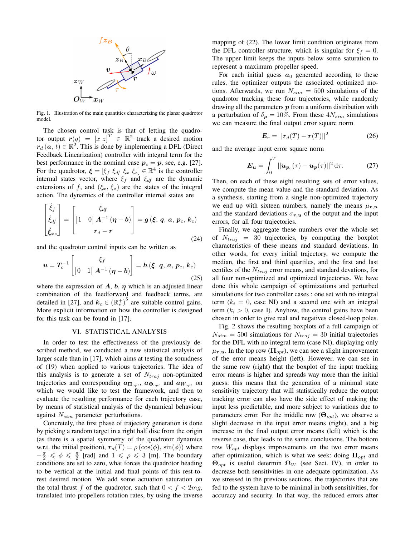

Fig. 1. Illustration of the main quantities characterizing the planar quadrotor model.

The chosen control task is that of letting the quadrotor output  $r(q) = [x \ z]^T \in \mathbb{R}^2$  track a desired motion  $r_d(a, t) \in \mathbb{R}^2$ . This is done by implementing a DFL (Direct Feedback Linearization) controller with integral term for the best performance in the nominal case  $p_c = p$ , see, e.g. [27]. For the quadrotor,  $\boldsymbol{\xi} = [\xi_f \xi_{df} \xi_x \xi_z] \in \mathbb{R}^4$  is the controller internal states vector, where  $\xi_f$  and  $\xi_{df}$  are the dynamic extensions of f, and  $(\xi_x, \xi_z)$  are the states of the integral action. The dynamics of the controller internal states are

$$
\begin{bmatrix} \dot{\xi}_f \\ \dot{\xi}_{df} \\ \dot{\xi}_{xz} \end{bmatrix} = \begin{bmatrix} \xi_{df} \\ \left[ 1 & 0 \right] A^{-1} \left( \boldsymbol{\eta} - \boldsymbol{b} \right) \\ r_d - r \end{bmatrix} = g \left( \boldsymbol{\xi}, \, \boldsymbol{q}, \, \boldsymbol{a}, \, p_c, \, \boldsymbol{k}_c \right) \tag{24}
$$

and the quadrotor control inputs can be written as

$$
\boldsymbol{u} = \boldsymbol{T}_c^{-1} \begin{bmatrix} \xi_f \\ \begin{bmatrix} 0 & 1 \end{bmatrix} \boldsymbol{A}^{-1} \left( \boldsymbol{\eta} - \boldsymbol{b} \right) \end{bmatrix} = \boldsymbol{h} \left( \boldsymbol{\xi}, \, \boldsymbol{q}, \, \boldsymbol{a}, \, \boldsymbol{p}_c, \, \boldsymbol{k}_c \right) \tag{25}
$$

where the expression of  $A$ ,  $b$ ,  $\eta$  which is an adjusted linear combination of the feedforward and feedback terms, are detailed in [27], and  $k_c \in (\mathbb{R}^+_*)^5$  are suitable control gains. More explicit information on how the controller is designed for this task can be found in [17].

#### VI. STATISTICAL ANALYSIS

In order to test the effectiveness of the previously described method, we conducted a new statistical analysis of larger scale than in [17], which aims at testing the soundness of (19) when applied to various trajectories. The idea of this analysis is to generate a set of  $N_{traj}$  non-optimized trajectories and corresponding  $a_{\Pi_{opt}}$ ,  $a_{\Theta_{opt}}$  and  $a_{W_{opt}}$  on which we would like to test the framework, and then to evaluate the resulting performance for each trajectory case, by means of statistical analysis of the dynamical behaviour against  $N_{sim}$  parameter perturbations.

Concretely, the first phase of trajectory generation is done by picking a random target in a right half disc from the origin (as there is a spatial symmetry of the quadrotor dynamics w.r.t. the initial position),  $r_d(T) = \rho(\cos(\phi), \sin(\phi))$  where  $-\frac{\pi}{2} \leq \phi \leq \frac{\pi}{2}$  [rad] and  $1 \leq \rho \leq 3$  [m]. The boundary conditions are set to zero, what forces the quadrotor heading to be vertical at the initial and final points of this rest-torest desired motion. We add some actuation saturation on the total thrust f of the quadrotor, such that  $0 < f < 2mg$ , translated into propellers rotation rates, by using the inverse mapping of (22). The lower limit condition originates from the DFL controller structure, which is singular for  $\xi_f = 0$ . The upper limit keeps the inputs below some saturation to represent a maximum propeller speed.

For each initial guess  $a_0$  generated according to these rules, the optimizer outputs the associated optimized motions. Afterwards, we run  $N_{sim} = 500$  simulations of the quadrotor tracking these four trajectories, while randomly drawing all the parameters  $p$  from a uniform distribution with a perturbation of  $\delta_p = 10\%$ . From these  $4N_{sim}$  simulations we can measure the final output error square norm

$$
E_r = ||r_d(T) - r(T)||^2 \tag{26}
$$

and the average input error square norm

$$
\boldsymbol{E}_{\boldsymbol{u}} = \int_0^T ||\boldsymbol{u}_{\boldsymbol{p}_c}(\tau) - \boldsymbol{u}_{\boldsymbol{p}}(\tau)||^2 d\tau.
$$
 (27)

Then, on each of these eight resulting sets of error values, we compute the mean value and the standard deviation. As a synthesis, starting from a single non-optimized trajectory we end up with sixteen numbers, namely the means  $\mu_{r,u}$ and the standard deviations  $\sigma_{r,u}$  of the output and the input errors, for all four trajectories.

Finally, we aggregate these numbers over the whole set of  $N_{traj}$  = 30 trajectories, by computing the boxplot characteristics of these means and standard deviations. In other words, for every initial trajectory, we compute the median, the first and third quartiles, and the first and last centiles of the  $N_{traj}$  error means, and standard devations, for all four non-optimized and optimized trajectories. We have done this whole campaign of optimizations and perturbed simulations for two controller cases : one set with no integral term  $(k<sub>i</sub> = 0, \text{ case } \text{NI})$  and a second one with an integral term  $(k<sub>i</sub> > 0$ , case I). Anyhow, the control gains have been chosen in order to give real and negatives closed-loop poles.

Fig. 2 shows the resulting boxplots of a full campaign of  $N_{sim} = 500$  simulations for  $N_{traj} = 30$  initial trajectories for the DFL with no integral term (case NI), displaying only  $\mu_{r,u}$ . In the top row  $(\Pi_{opt})$ , we can see a slight improvement of the error means height (left). However, we can see in the same row (right) that the boxplot of the input tracking error means is higher and spreads way more than the initial guess: this means that the generation of a minimal state sensitivity trajectory that will statistically reduce the output tracking error can also have the side effect of making the input less predictable, and more subject to variations due to parameters error. For the middle row  $(\mathbf{\Theta}_{opt})$ , we observe a slight decrease in the input error means (right), and a big increase in the final output error means (left) which is the reverse case, that leads to the same conclusions. The bottom row  $W_{\text{opt}}$  displays improvements on the two error means after optimization, which is what we seek: doing  $\Pi_{opt}$  and  $\Theta_{opt}$  is useful determin  $\Omega_W$  (see Sect. IV), in order to decrease both sensitivities in one adequate optimization. As we stressed in the previous sections, the trajectories that are fed to the system have to be minimal in both sensitivities, for accuracy and security. In that way, the reduced errors after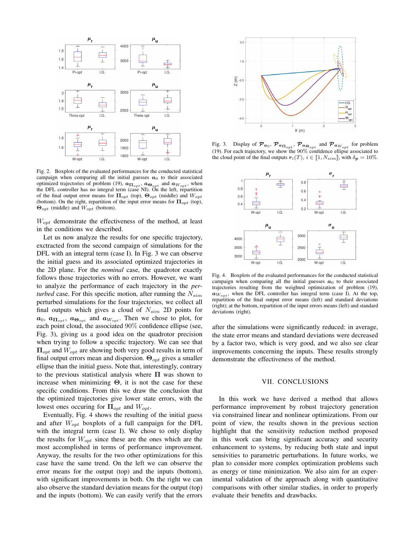

Fig. 2. Boxplots of the evaluated performances for the conducted statistical campaign when comparing all the initial guesses  $a_0$  to their associated optimized trajectories of problem (19),  $a_{\Pi opt}$ ,  $a_{\Theta_{opt}}$  and  $a_{W_{opt}}$ , when the DFL controller has no integral term (case NI). On the left, repartition of the final output error means for  $\Pi_{opt}$  (top),  $\Theta_{opt}$  (middle) and  $W_{opt}$ (bottom). On the right, repartition of the input error means for  $\Pi_{opt}$  (top),  $\Theta_{opt}$  (middle) and  $W_{opt}$  (bottom).

 $W_{opt}$  demonstrate the effectiveness of the method, at least in the conditions we described.

Let us now analyze the results for one specific trajectory, exctracted from the second campaign of simulations for the DFL with an integral term (case I). In Fig. 3 we can observe the initial guess and its associated optimized trajectories in the 2D plane. For the *nominal* case, the quadrotor exactly follows those trajectories with no errors. However, we want to analyze the performance of each trajectory in the *perturbed* case. For this specific motion, after running the  $N_{sim}$ perturbed simulations for the four trajectories, we collect all final outputs which gives a cloud of  $N_{sim}$  2D points for  $a_0$ ,  $a_{\prod_{opt}}$ ,  $a_{\Theta_{opt}}$  and  $a_{W_{opt}}$ . Then we chose to plot, for each point cloud, the associated 90% confidence ellipse (see, Fig. 3), giving us a good idea on the quadrotor precision when trying to follow a specific trajectory. We can see that  $\Pi_{opt}$  and  $W_{opt}$  are showing both very good results in term of final output errors mean and dispersion.  $\Theta_{\text{out}}$  gives a smaller ellipse than the initial guess. Note that, interestingly, contrary to the previous statistical analysis where  $\Pi$  was shown to increase when minimizing  $\Theta$ , it is not the case for these specific conditions. From this we draw the conclusion that the optimized trajectories give lower state errors, with the lowest ones occuring for  $\Pi_{opt}$  and  $W_{opt}$ .

Eventually, Fig. 4 shows the resulting of the initial guess and after  $W_{opt}$  boxplots of a full campaign for the DFL with the integral term (case I). We chose to only display the results for  $W_{opt}$  since these are the ones which are the most accomplished in terms of performance improvement. Anyway, the results for the two other optimizations for this case have the same trend. On the left we can observe the error means for the output (top) and the inputs (bottom), with significant improvements in both. On the right we can also observe the standard deviation means for the output (top) and the inputs (bottom). We can easily verify that the errors



Fig. 3. Display of  $\mathcal{P}_{a_0}, \mathcal{P}_{a_{\Pi_{opt}}}, \mathcal{P}_{a_{\Theta_{opt}}}$  and  $\mathcal{P}_{a_{W_{opt}}}$  for problem (19). For each trajectory, we show the 90% confidence ellipse associated to the cloud point of the final outputs  $r_i(T)$ ,  $i \in [1, N_{sim}]\,$ , with  $\delta_p = 10\%$ .



Fig. 4. Boxplots of the evaluated performances for the conducted statistical campaign when comparing all the initial guesses  $a_0$  to their associated trajectories resulting from the weighted optimization of problem (19),  $a_{W_{opt}}$ , when the DFL controller has integral term (case I). At the top, repartition of the final output error means (left) and standard deviations (right); at the bottom, repartition of the input errors means (left) and standard deviations (right).

after the simulations were significantly reduced: in average, the state error means and standard deviations were decreased by a factor two, which is very good, and we also see clear improvements concerning the inputs. These results strongly demonstrate the effectiveness of the method.

### VII. CONCLUSIONS

In this work we have derived a method that allows performance improvement by robust trajectory generation via constrained linear and nonlinear optimizations. From our point of view, the results shown in the previous section highlight that the sensitivity reduction method proposed in this work can bring significant accuracy and security enhancement to systems, by reducing both state and input sensivities to parametric perturbations. In future works, we plan to consider more complex optimization problems such as energy or time minimization. We also aim for an experimental validation of the approach along with quantitative comparisons with other similar studies, in order to properly evaluate their benefits and drawbacks.